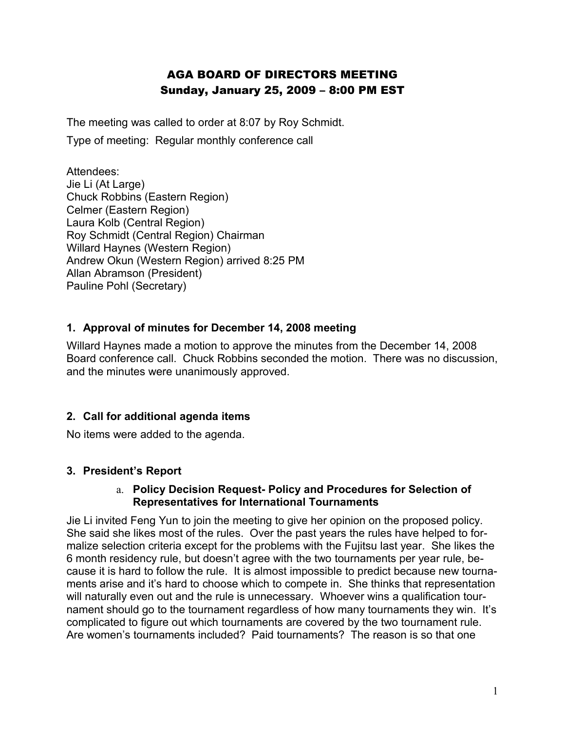# AGA BOARD OF DIRECTORS MEETING Sunday, January 25, 2009 – 8:00 PM EST

The meeting was called to order at 8:07 by Roy Schmidt.

Type of meeting: Regular monthly conference call

Attendees: Jie Li (At Large) Chuck Robbins (Eastern Region) Celmer (Eastern Region) Laura Kolb (Central Region) Roy Schmidt (Central Region) Chairman Willard Haynes (Western Region) Andrew Okun (Western Region) arrived 8:25 PM Allan Abramson (President) Pauline Pohl (Secretary)

### **1. Approval of minutes for December 14, 2008 meeting**

Willard Haynes made a motion to approve the minutes from the December 14, 2008 Board conference call. Chuck Robbins seconded the motion. There was no discussion, and the minutes were unanimously approved.

## **2. Call for additional agenda items**

No items were added to the agenda.

### **3. President's Report**

#### a. **Policy Decision Request- Policy and Procedures for Selection of Representatives for International Tournaments**

Jie Li invited Feng Yun to join the meeting to give her opinion on the proposed policy. She said she likes most of the rules. Over the past years the rules have helped to formalize selection criteria except for the problems with the Fujitsu last year. She likes the 6 month residency rule, but doesn't agree with the two tournaments per year rule, because it is hard to follow the rule. It is almost impossible to predict because new tournaments arise and it's hard to choose which to compete in. She thinks that representation will naturally even out and the rule is unnecessary. Whoever wins a qualification tournament should go to the tournament regardless of how many tournaments they win. It's complicated to figure out which tournaments are covered by the two tournament rule. Are women's tournaments included? Paid tournaments? The reason is so that one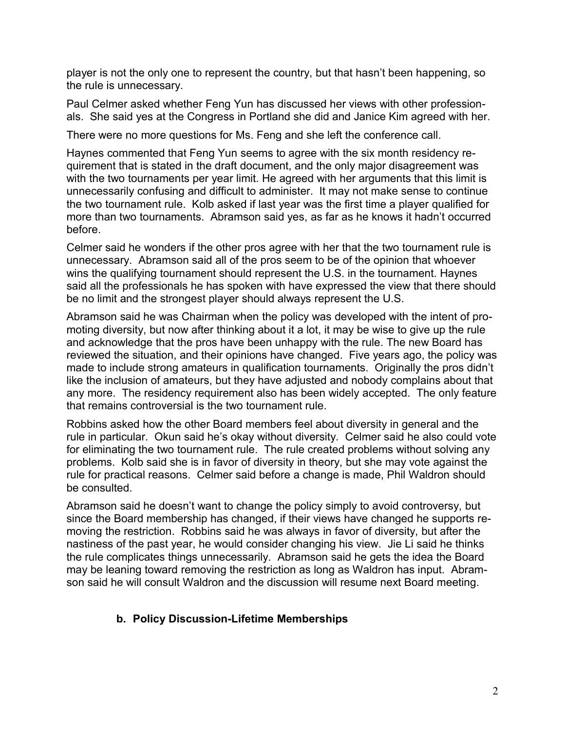player is not the only one to represent the country, but that hasn't been happening, so the rule is unnecessary.

Paul Celmer asked whether Feng Yun has discussed her views with other professionals. She said yes at the Congress in Portland she did and Janice Kim agreed with her.

There were no more questions for Ms. Feng and she left the conference call.

Haynes commented that Feng Yun seems to agree with the six month residency requirement that is stated in the draft document, and the only major disagreement was with the two tournaments per year limit. He agreed with her arguments that this limit is unnecessarily confusing and difficult to administer. It may not make sense to continue the two tournament rule. Kolb asked if last year was the first time a player qualified for more than two tournaments. Abramson said yes, as far as he knows it hadn't occurred before.

Celmer said he wonders if the other pros agree with her that the two tournament rule is unnecessary. Abramson said all of the pros seem to be of the opinion that whoever wins the qualifying tournament should represent the U.S. in the tournament. Haynes said all the professionals he has spoken with have expressed the view that there should be no limit and the strongest player should always represent the U.S.

Abramson said he was Chairman when the policy was developed with the intent of promoting diversity, but now after thinking about it a lot, it may be wise to give up the rule and acknowledge that the pros have been unhappy with the rule. The new Board has reviewed the situation, and their opinions have changed. Five years ago, the policy was made to include strong amateurs in qualification tournaments. Originally the pros didn't like the inclusion of amateurs, but they have adjusted and nobody complains about that any more. The residency requirement also has been widely accepted. The only feature that remains controversial is the two tournament rule.

Robbins asked how the other Board members feel about diversity in general and the rule in particular. Okun said he's okay without diversity. Celmer said he also could vote for eliminating the two tournament rule. The rule created problems without solving any problems. Kolb said she is in favor of diversity in theory, but she may vote against the rule for practical reasons. Celmer said before a change is made, Phil Waldron should be consulted.

Abramson said he doesn't want to change the policy simply to avoid controversy, but since the Board membership has changed, if their views have changed he supports removing the restriction. Robbins said he was always in favor of diversity, but after the nastiness of the past year, he would consider changing his view. Jie Li said he thinks the rule complicates things unnecessarily. Abramson said he gets the idea the Board may be leaning toward removing the restriction as long as Waldron has input. Abramson said he will consult Waldron and the discussion will resume next Board meeting.

### **b. Policy Discussion-Lifetime Memberships**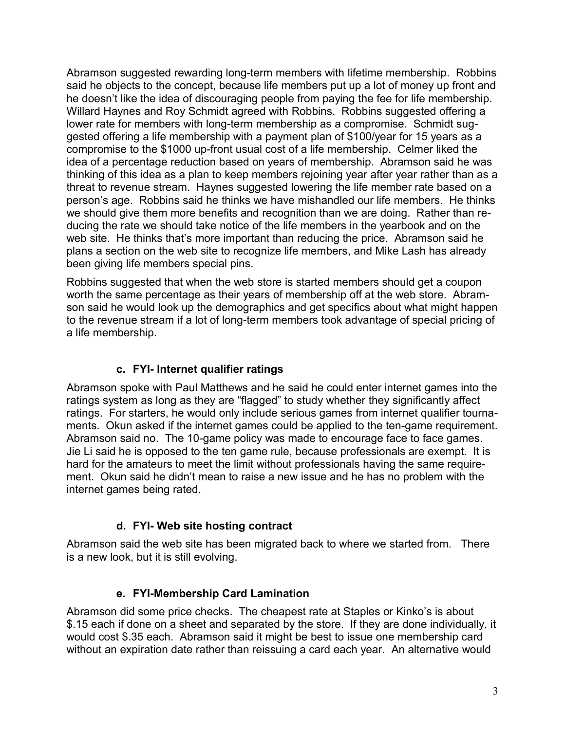Abramson suggested rewarding long-term members with lifetime membership. Robbins said he objects to the concept, because life members put up a lot of money up front and he doesn't like the idea of discouraging people from paying the fee for life membership. Willard Haynes and Roy Schmidt agreed with Robbins. Robbins suggested offering a lower rate for members with long-term membership as a compromise. Schmidt suggested offering a life membership with a payment plan of \$100/year for 15 years as a compromise to the \$1000 up-front usual cost of a life membership. Celmer liked the idea of a percentage reduction based on years of membership. Abramson said he was thinking of this idea as a plan to keep members rejoining year after year rather than as a threat to revenue stream. Haynes suggested lowering the life member rate based on a person's age. Robbins said he thinks we have mishandled our life members. He thinks we should give them more benefits and recognition than we are doing. Rather than reducing the rate we should take notice of the life members in the yearbook and on the web site. He thinks that's more important than reducing the price. Abramson said he plans a section on the web site to recognize life members, and Mike Lash has already been giving life members special pins.

Robbins suggested that when the web store is started members should get a coupon worth the same percentage as their years of membership off at the web store. Abramson said he would look up the demographics and get specifics about what might happen to the revenue stream if a lot of long-term members took advantage of special pricing of a life membership.

### **c. FYI- Internet qualifier ratings**

Abramson spoke with Paul Matthews and he said he could enter internet games into the ratings system as long as they are "flagged" to study whether they significantly affect ratings. For starters, he would only include serious games from internet qualifier tournaments. Okun asked if the internet games could be applied to the ten-game requirement. Abramson said no. The 10-game policy was made to encourage face to face games. Jie Li said he is opposed to the ten game rule, because professionals are exempt. It is hard for the amateurs to meet the limit without professionals having the same requirement. Okun said he didn't mean to raise a new issue and he has no problem with the internet games being rated.

### **d. FYI- Web site hosting contract**

Abramson said the web site has been migrated back to where we started from. There is a new look, but it is still evolving.

### **e. FYI-Membership Card Lamination**

Abramson did some price checks. The cheapest rate at Staples or Kinko's is about \$.15 each if done on a sheet and separated by the store. If they are done individually, it would cost \$.35 each. Abramson said it might be best to issue one membership card without an expiration date rather than reissuing a card each year. An alternative would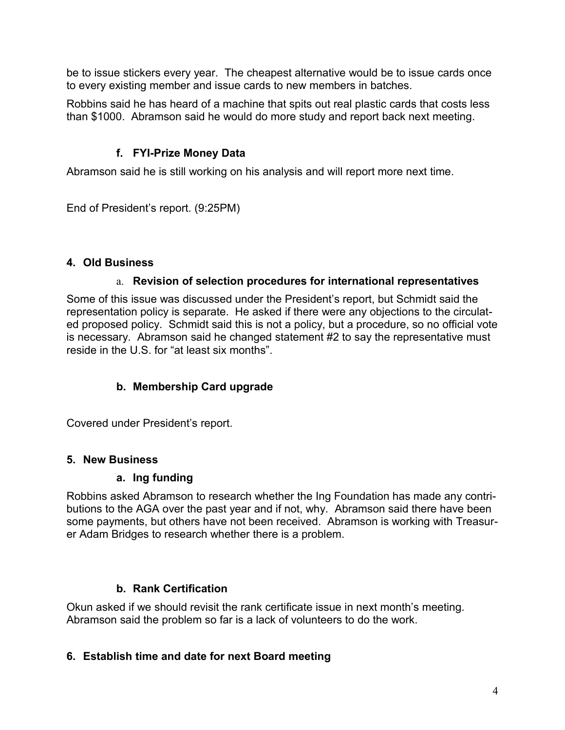be to issue stickers every year. The cheapest alternative would be to issue cards once to every existing member and issue cards to new members in batches.

Robbins said he has heard of a machine that spits out real plastic cards that costs less than \$1000. Abramson said he would do more study and report back next meeting.

## **f. FYI-Prize Money Data**

Abramson said he is still working on his analysis and will report more next time.

End of President's report. (9:25PM)

## **4. Old Business**

## a. **Revision of selection procedures for international representatives**

Some of this issue was discussed under the President's report, but Schmidt said the representation policy is separate. He asked if there were any objections to the circulated proposed policy. Schmidt said this is not a policy, but a procedure, so no official vote is necessary. Abramson said he changed statement #2 to say the representative must reside in the U.S. for "at least six months".

## **b. Membership Card upgrade**

Covered under President's report.

## **5. New Business**

### **a. Ing funding**

Robbins asked Abramson to research whether the Ing Foundation has made any contributions to the AGA over the past year and if not, why. Abramson said there have been some payments, but others have not been received. Abramson is working with Treasurer Adam Bridges to research whether there is a problem.

## **b. Rank Certification**

Okun asked if we should revisit the rank certificate issue in next month's meeting. Abramson said the problem so far is a lack of volunteers to do the work.

## **6. Establish time and date for next Board meeting**